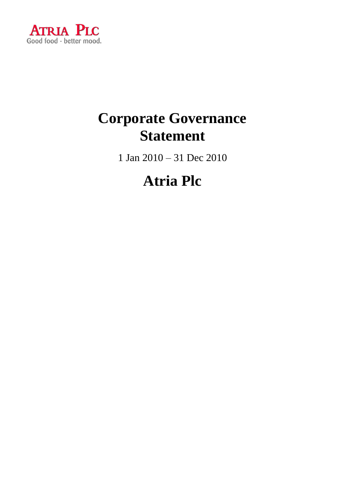

### **Corporate Governance Statement**

1 Jan 2010 – 31 Dec 2010

### **Atria Plc**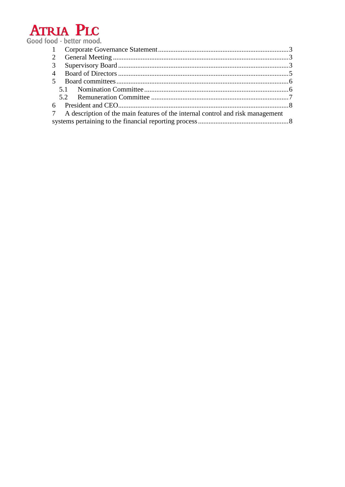

| 2                                                                                   |  |  |  |
|-------------------------------------------------------------------------------------|--|--|--|
| 3                                                                                   |  |  |  |
|                                                                                     |  |  |  |
| 5 <sup>5</sup>                                                                      |  |  |  |
|                                                                                     |  |  |  |
|                                                                                     |  |  |  |
|                                                                                     |  |  |  |
| A description of the main features of the internal control and risk management<br>7 |  |  |  |
|                                                                                     |  |  |  |
|                                                                                     |  |  |  |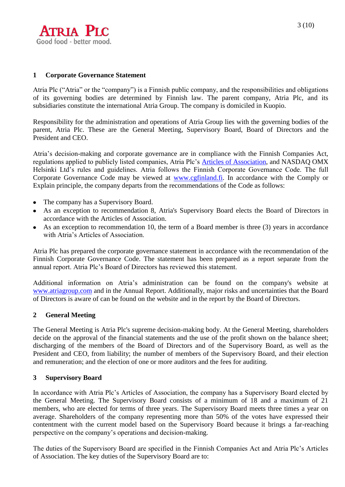

#### <span id="page-2-0"></span>**1 Corporate Governance Statement**

Atria Plc ("Atria" or the "company") is a Finnish public company, and the responsibilities and obligations of its governing bodies are determined by Finnish law. The parent company, Atria Plc, and its subsidiaries constitute the international Atria Group. The company is domiciled in Kuopio.

Responsibility for the administration and operations of Atria Group lies with the governing bodies of the parent, Atria Plc. These are the General Meeting, Supervisory Board, Board of Directors and the President and CEO.

Atria's decision-making and corporate governance are in compliance with the Finnish Companies Act, regulations applied to publicly listed companies, Atria Plc's [Articles of Association,](http://www.atria.fi/asp/empty.asp?P=1114&VID=default&SID=239806568096675&S=0&C=20721) and NASDAQ OMX Helsinki Ltd's rules and guidelines. Atria follows the Finnish Corporate Governance Code. The full Corporate Governance Code may be viewed at [www.cgfinland.fi.](http://www.cgfinland.fi/) In accordance with the Comply or Explain principle, the company departs from the recommendations of the Code as follows:

- The company has a Supervisory Board.
- As an exception to recommendation 8, Atria's Supervisory Board elects the Board of Directors in accordance with the Articles of Association.
- As an exception to recommendation 10, the term of a Board member is three (3) years in accordance with Atria's Articles of Association.

Atria Plc has prepared the corporate governance statement in accordance with the recommendation of the Finnish Corporate Governance Code. The statement has been prepared as a report separate from the annual report. Atria Plc's Board of Directors has reviewed this statement.

Additional information on Atria's administration can be found on the company's website at [www.atriagroup.com](http://www.atriagroup.com/) and in the Annual Report. Additionally, major risks and uncertainties that the Board of Directors is aware of can be found on the website and in the report by the Board of Directors.

#### <span id="page-2-1"></span>**2 General Meeting**

The General Meeting is Atria Plc's supreme decision-making body. At the General Meeting, shareholders decide on the approval of the financial statements and the use of the profit shown on the balance sheet; discharging of the members of the Board of Directors and of the Supervisory Board, as well as the President and CEO, from liability; the number of members of the Supervisory Board, and their election and remuneration; and the election of one or more auditors and the fees for auditing.

#### <span id="page-2-2"></span>**3 Supervisory Board**

In accordance with Atria Plc's Articles of Association, the company has a Supervisory Board elected by the General Meeting. The Supervisory Board consists of a minimum of 18 and a maximum of 21 members, who are elected for terms of three years. The Supervisory Board meets three times a year on average. Shareholders of the company representing more than 50% of the votes have expressed their contentment with the current model based on the Supervisory Board because it brings a far-reaching perspective on the company's operations and decision-making.

The duties of the Supervisory Board are specified in the Finnish Companies Act and Atria Plc's Articles of Association. The key duties of the Supervisory Board are to: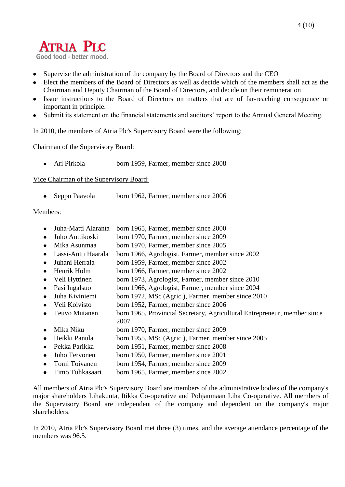# **ATRIA PLC**

Good food - better mood.

- Supervise the administration of the company by the Board of Directors and the CEO
- Elect the members of the Board of Directors as well as decide which of the members shall act as the Chairman and Deputy Chairman of the Board of Directors, and decide on their remuneration
- Issue instructions to the Board of Directors on matters that are of far-reaching consequence or important in principle.
- Submit its statement on the financial statements and auditors' report to the Annual General Meeting.

In 2010, the members of Atria Plc's Supervisory Board were the following:

Chairman of the Supervisory Board:

• Ari Pirkola born 1959, Farmer, member since 2008

Vice Chairman of the Supervisory Board:

• Seppo Paavola born 1962, Farmer, member since 2006

#### Members:

- Juha-Matti Alaranta born 1965, Farmer, member since 2000
- Juho Anttikoski born 1970, Farmer, member since 2009
- $\bullet$ Mika Asunmaa born 1970, Farmer, member since 2005
- Lassi-Antti Haarala born 1966, Agrologist, Farmer, member since 2002
- Juhani Herrala born 1959, Farmer, member since 2002
- Henrik Holm born 1966, Farmer, member since 2002  $\bullet$
- Veli Hyttinen born 1973, Agrologist, Farmer, member since 2010  $\bullet$
- $\bullet$ Pasi Ingalsuo born 1966, Agrologist, Farmer, member since 2004
- Juha Kiviniemi born 1972, MSc (Agric.), Farmer, member since 2010  $\bullet$
- Veli Koivisto born 1952, Farmer, member since 2006
- Teuvo Mutanen born 1965, Provincial Secretary, Agricultural Entrepreneur, member since  $\bullet$ 2007
- Mika Niku born 1970, Farmer, member since 2009
- Heikki Panula born 1955, MSc (Agric.), Farmer, member since 2005
- Pekka Parikka born 1951, Farmer, member since 2008
- Juho Tervonen born 1950, Farmer, member since 2001  $\bullet$
- Tomi Toivanen born 1954, Farmer, member since 2009  $\bullet$
- Timo Tuhkasaari born 1965, Farmer, member since 2002.  $\blacktriangle$

All members of Atria Plc's Supervisory Board are members of the administrative bodies of the company's major shareholders Lihakunta, Itikka Co-operative and Pohjanmaan Liha Co-operative. All members of the Supervisory Board are independent of the company and dependent on the company's major shareholders.

In 2010, Atria Plc's Supervisory Board met three (3) times, and the average attendance percentage of the members was 96.5.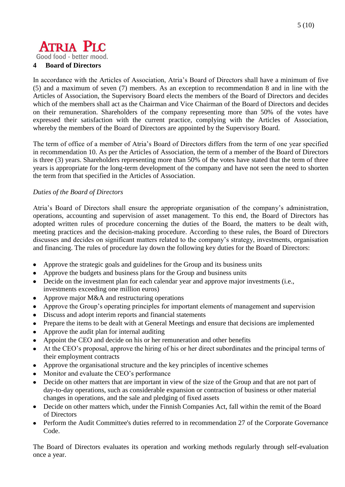### **ATRIA PLC** Good food - better mood.

<span id="page-4-0"></span>**4 Board of Directors** 

In accordance with the Articles of Association, Atria's Board of Directors shall have a minimum of five (5) and a maximum of seven (7) members. As an exception to recommendation 8 and in line with the Articles of Association, the Supervisory Board elects the members of the Board of Directors and decides which of the members shall act as the Chairman and Vice Chairman of the Board of Directors and decides on their remuneration. Shareholders of the company representing more than 50% of the votes have expressed their satisfaction with the current practice, complying with the Articles of Association, whereby the members of the Board of Directors are appointed by the Supervisory Board.

The term of office of a member of Atria's Board of Directors differs from the term of one year specified in recommendation 10. As per the Articles of Association, the term of a member of the Board of Directors is three (3) years. Shareholders representing more than 50% of the votes have stated that the term of three years is appropriate for the long-term development of the company and have not seen the need to shorten the term from that specified in the Articles of Association.

#### *Duties of the Board of Directors*

Atria's Board of Directors shall ensure the appropriate organisation of the company's administration, operations, accounting and supervision of asset management. To this end, the Board of Directors has adopted written rules of procedure concerning the duties of the Board, the matters to be dealt with, meeting practices and the decision-making procedure. According to these rules, the Board of Directors discusses and decides on significant matters related to the company's strategy, investments, organisation and financing. The rules of procedure lay down the following key duties for the Board of Directors:

- Approve the strategic goals and guidelines for the Group and its business units
- Approve the budgets and business plans for the Group and business units
- Decide on the investment plan for each calendar year and approve major investments (i.e., investments exceeding one million euros)
- Approve major M&A and restructuring operations
- Approve the Group's operating principles for important elements of management and supervision
- Discuss and adopt interim reports and financial statements
- Prepare the items to be dealt with at General Meetings and ensure that decisions are implemented
- Approve the audit plan for internal auditing
- Appoint the CEO and decide on his or her remuneration and other benefits
- At the CEO's proposal, approve the hiring of his or her direct subordinates and the principal terms of their employment contracts
- Approve the organisational structure and the key principles of incentive schemes
- Monitor and evaluate the CEO's performance
- Decide on other matters that are important in view of the size of the Group and that are not part of day-to-day operations, such as considerable expansion or contraction of business or other material changes in operations, and the sale and pledging of fixed assets
- Decide on other matters which, under the Finnish Companies Act, fall within the remit of the Board of Directors
- Perform the Audit Committee's duties referred to in recommendation 27 of the Corporate Governance Code.

The Board of Directors evaluates its operation and working methods regularly through self-evaluation once a year.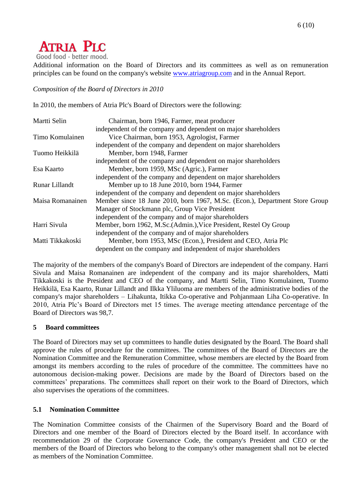### **ATRIA PLC**

Good food - better mood.

Additional information on the Board of Directors and its committees as well as on remuneration principles can be found on the company's website [www.atriagroup.com](http://www.atriagroup.com/) and in the Annual Report.

*Composition of the Board of Directors in 2010*

In 2010, the members of Atria Plc's Board of Directors were the following:

| Martti Selin     | Chairman, born 1946, Farmer, meat producer                                  |
|------------------|-----------------------------------------------------------------------------|
|                  | independent of the company and dependent on major shareholders              |
| Timo Komulainen  | Vice Chairman, born 1953, Agrologist, Farmer                                |
|                  | independent of the company and dependent on major shareholders              |
| Tuomo Heikkilä   | Member, born 1948, Farmer                                                   |
|                  | independent of the company and dependent on major shareholders              |
| Esa Kaarto       | Member, born 1959, MSc (Agric.), Farmer                                     |
|                  | independent of the company and dependent on major shareholders              |
| Runar Lillandt   | Member up to 18 June 2010, born 1944, Farmer                                |
|                  | independent of the company and dependent on major shareholders              |
| Maisa Romanainen | Member since 18 June 2010, born 1967, M.Sc. (Econ.), Department Store Group |
|                  | Manager of Stockmann plc, Group Vice President                              |
|                  | independent of the company and of major shareholders                        |
| Harri Sivula     | Member, born 1962, M.Sc. (Admin.), Vice President, Restel Oy Group          |
|                  | independent of the company and of major shareholders                        |
| Matti Tikkakoski | Member, born 1953, MSc (Econ.), President and CEO, Atria Plc                |
|                  | dependent on the company and independent of major shareholders              |

The majority of the members of the company's Board of Directors are independent of the company. Harri Sivula and Maisa Romanainen are independent of the company and its major shareholders, Matti Tikkakoski is the President and CEO of the company, and Martti Selin, Timo Komulainen, Tuomo Heikkilä, Esa Kaarto, Runar Lillandt and Ilkka Yliluoma are members of the administrative bodies of the company's major shareholders – Lihakunta, Itikka Co-operative and Pohjanmaan Liha Co-operative. In 2010, Atria Plc's Board of Directors met 15 times. The average meeting attendance percentage of the Board of Directors was 98,7.

#### <span id="page-5-0"></span>**5 Board committees**

The Board of Directors may set up committees to handle duties designated by the Board. The Board shall approve the rules of procedure for the committees. The committees of the Board of Directors are the Nomination Committee and the Remuneration Committee, whose members are elected by the Board from amongst its members according to the rules of procedure of the committee. The committees have no autonomous decision-making power. Decisions are made by the Board of Directors based on the committees' preparations. The committees shall report on their work to the Board of Directors, which also supervises the operations of the committees.

#### <span id="page-5-1"></span>**5.1 Nomination Committee**

The Nomination Committee consists of the Chairmen of the Supervisory Board and the Board of Directors and one member of the Board of Directors elected by the Board itself. In accordance with recommendation 29 of the Corporate Governance Code, the company's President and CEO or the members of the Board of Directors who belong to the company's other management shall not be elected as members of the Nomination Committee.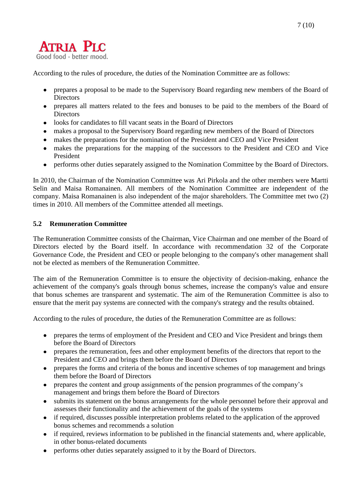

According to the rules of procedure, the duties of the Nomination Committee are as follows:

- prepares a proposal to be made to the Supervisory Board regarding new members of the Board of  $\bullet$ **Directors**
- prepares all matters related to the fees and bonuses to be paid to the members of the Board of **Directors**
- looks for candidates to fill vacant seats in the Board of Directors
- makes a proposal to the Supervisory Board regarding new members of the Board of Directors
- makes the preparations for the nomination of the President and CEO and Vice President  $\bullet$
- $\bullet$ makes the preparations for the mapping of the successors to the President and CEO and Vice President
- performs other duties separately assigned to the Nomination Committee by the Board of Directors.

In 2010, the Chairman of the Nomination Committee was Ari Pirkola and the other members were Martti Selin and Maisa Romanainen. All members of the Nomination Committee are independent of the company. Maisa Romanainen is also independent of the major shareholders. The Committee met two (2) times in 2010. All members of the Committee attended all meetings.

#### <span id="page-6-0"></span>**5.2 Remuneration Committee**

The Remuneration Committee consists of the Chairman, Vice Chairman and one member of the Board of Directors elected by the Board itself. In accordance with recommendation 32 of the Corporate Governance Code, the President and CEO or people belonging to the company's other management shall not be elected as members of the Remuneration Committee.

The aim of the Remuneration Committee is to ensure the objectivity of decision-making, enhance the achievement of the company's goals through bonus schemes, increase the company's value and ensure that bonus schemes are transparent and systematic. The aim of the Remuneration Committee is also to ensure that the merit pay systems are connected with the company's strategy and the results obtained.

According to the rules of procedure, the duties of the Remuneration Committee are as follows:

- prepares the terms of employment of the President and CEO and Vice President and brings them before the Board of Directors
- prepares the remuneration, fees and other employment benefits of the directors that report to the  $\bullet$ President and CEO and brings them before the Board of Directors
- prepares the forms and criteria of the bonus and incentive schemes of top management and brings  $\bullet$ them before the Board of Directors
- prepares the content and group assignments of the pension programmes of the company's  $\bullet$ management and brings them before the Board of Directors
- submits its statement on the bonus arrangements for the whole personnel before their approval and  $\bullet$ assesses their functionality and the achievement of the goals of the systems
- if required, discusses possible interpretation problems related to the application of the approved  $\bullet$ bonus schemes and recommends a solution
- if required, reviews information to be published in the financial statements and, where applicable,  $\bullet$ in other bonus-related documents
- performs other duties separately assigned to it by the Board of Directors. $\bullet$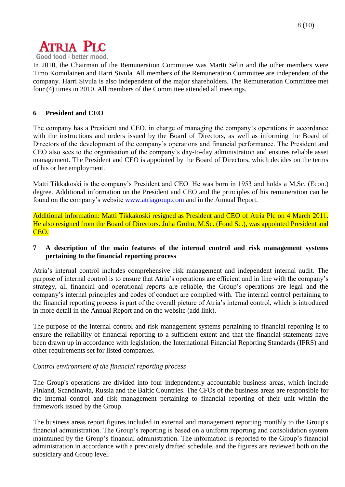

In 2010, the Chairman of the Remuneration Committee was Martti Selin and the other members were Timo Komulainen and Harri Sivula. All members of the Remuneration Committee are independent of the company. Harri Sivula is also independent of the major shareholders. The Remuneration Committee met four (4) times in 2010. All members of the Committee attended all meetings.

#### <span id="page-7-0"></span>**6 President and CEO**

The company has a President and CEO. in charge of managing the company's operations in accordance with the instructions and orders issued by the Board of Directors, as well as informing the Board of Directors of the development of the company's operations and financial performance. The President and CEO also sees to the organisation of the company's day-to-day administration and ensures reliable asset management. The President and CEO is appointed by the Board of Directors, which decides on the terms of his or her employment.

Matti Tikkakoski is the company's President and CEO. He was born in 1953 and holds a M.Sc. (Econ.) degree. Additional information on the President and CEO and the principles of his remuneration can be found on the company's website [www.atriagroup.com](http://www.atriagroup.com/) and in the Annual Report.

Additional information: Matti Tikkakoski resigned as President and CEO of Atria Plc on 4 March 2011. He also resigned from the Board of Directors. Juha Gröhn, M.Sc. (Food Sc.), was appointed President and CEO.

#### <span id="page-7-1"></span>**7 A description of the main features of the internal control and risk management systems pertaining to the financial reporting process**

Atria's internal control includes comprehensive risk management and independent internal audit. The purpose of internal control is to ensure that Atria's operations are efficient and in line with the company's strategy, all financial and operational reports are reliable, the Group's operations are legal and the company's internal principles and codes of conduct are complied with. The internal control pertaining to the financial reporting process is part of the overall picture of Atria's internal control, which is introduced in more detail in the Annual Report and on the website (add link).

The purpose of the internal control and risk management systems pertaining to financial reporting is to ensure the reliability of financial reporting to a sufficient extent and that the financial statements have been drawn up in accordance with legislation, the International Financial Reporting Standards (IFRS) and other requirements set for listed companies.

#### *Control environment of the financial reporting process*

The Group's operations are divided into four independently accountable business areas, which include Finland, Scandinavia, Russia and the Baltic Countries. The CFOs of the business areas are responsible for the internal control and risk management pertaining to financial reporting of their unit within the framework issued by the Group.

The business areas report figures included in external and management reporting monthly to the Group's financial administration. The Group's reporting is based on a uniform reporting and consolidation system maintained by the Group's financial administration. The information is reported to the Group's financial administration in accordance with a previously drafted schedule, and the figures are reviewed both on the subsidiary and Group level.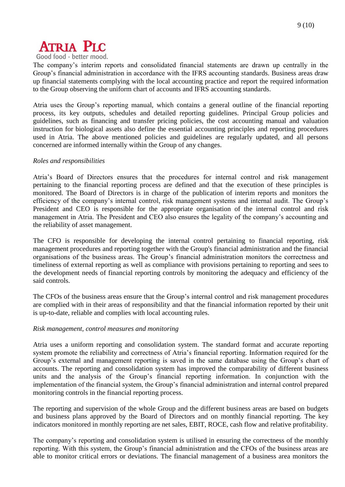

Good food - better mood.

The company's interim reports and consolidated financial statements are drawn up centrally in the Group's financial administration in accordance with the IFRS accounting standards. Business areas draw up financial statements complying with the local accounting practice and report the required information to the Group observing the uniform chart of accounts and IFRS accounting standards.

Atria uses the Group's reporting manual, which contains a general outline of the financial reporting process, its key outputs, schedules and detailed reporting guidelines. Principal Group policies and guidelines, such as financing and transfer pricing policies, the cost accounting manual and valuation instruction for biological assets also define the essential accounting principles and reporting procedures used in Atria. The above mentioned policies and guidelines are regularly updated, and all persons concerned are informed internally within the Group of any changes.

#### *Roles and responsibilities*

Atria's Board of Directors ensures that the procedures for internal control and risk management pertaining to the financial reporting process are defined and that the execution of these principles is monitored. The Board of Directors is in charge of the publication of interim reports and monitors the efficiency of the company's internal control, risk management systems and internal audit. The Group's President and CEO is responsible for the appropriate organisation of the internal control and risk management in Atria. The President and CEO also ensures the legality of the company's accounting and the reliability of asset management.

The CFO is responsible for developing the internal control pertaining to financial reporting, risk management procedures and reporting together with the Group's financial administration and the financial organisations of the business areas. The Group's financial administration monitors the correctness and timeliness of external reporting as well as compliance with provisions pertaining to reporting and sees to the development needs of financial reporting controls by monitoring the adequacy and efficiency of the said controls.

The CFOs of the business areas ensure that the Group's internal control and risk management procedures are complied with in their areas of responsibility and that the financial information reported by their unit is up-to-date, reliable and complies with local accounting rules.

#### *Risk management, control measures and monitoring*

Atria uses a uniform reporting and consolidation system. The standard format and accurate reporting system promote the reliability and correctness of Atria's financial reporting. Information required for the Group's external and management reporting is saved in the same database using the Group's chart of accounts. The reporting and consolidation system has improved the comparability of different business units and the analysis of the Group's financial reporting information. In conjunction with the implementation of the financial system, the Group's financial administration and internal control prepared monitoring controls in the financial reporting process.

The reporting and supervision of the whole Group and the different business areas are based on budgets and business plans approved by the Board of Directors and on monthly financial reporting. The key indicators monitored in monthly reporting are net sales, EBIT, ROCE, cash flow and relative profitability.

The company's reporting and consolidation system is utilised in ensuring the correctness of the monthly reporting. With this system, the Group's financial administration and the CFOs of the business areas are able to monitor critical errors or deviations. The financial management of a business area monitors the